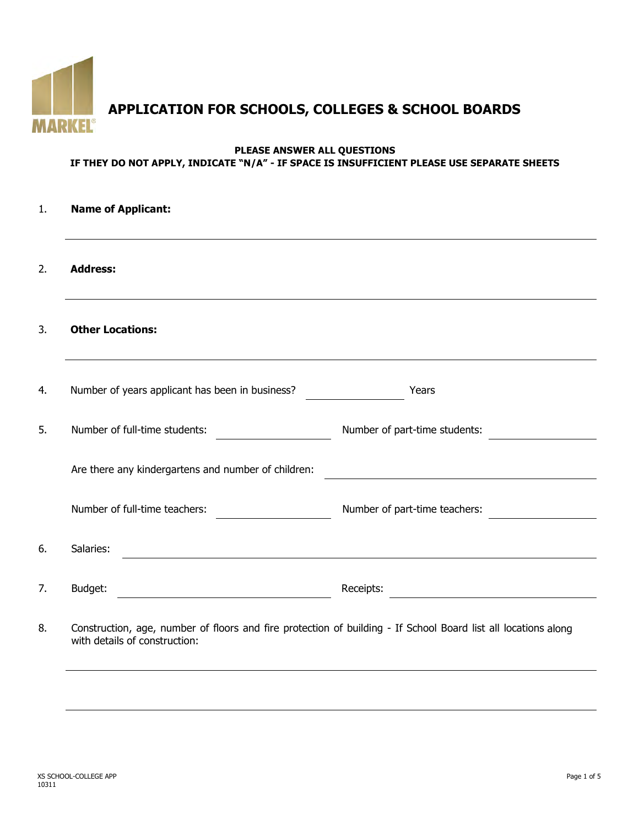

# **APPLICATION FOR SCHOOLS, COLLEGES & SCHOOL BOARDS**

#### **PLEASE ANSWER ALL QUESTIONS IF THEY DO NOT APPLY, INDICATE "N/A" - IF SPACE IS INSUFFICIENT PLEASE USE SEPARATE SHEETS**

|                 | <b>Name of Applicant:</b>                           |                                                                                                                |  |  |  |
|-----------------|-----------------------------------------------------|----------------------------------------------------------------------------------------------------------------|--|--|--|
| <b>Address:</b> |                                                     |                                                                                                                |  |  |  |
|                 | <b>Other Locations:</b>                             |                                                                                                                |  |  |  |
|                 | Number of years applicant has been in business?     | Years                                                                                                          |  |  |  |
|                 | Number of full-time students:                       | Number of part-time students:                                                                                  |  |  |  |
|                 | Are there any kindergartens and number of children: |                                                                                                                |  |  |  |
|                 | Number of full-time teachers:                       | Number of part-time teachers:                                                                                  |  |  |  |
| Salaries:       |                                                     |                                                                                                                |  |  |  |
| Budget:         |                                                     | Receipts:                                                                                                      |  |  |  |
|                 | with details of construction:                       | Construction, age, number of floors and fire protection of building - If School Board list all locations along |  |  |  |
|                 |                                                     |                                                                                                                |  |  |  |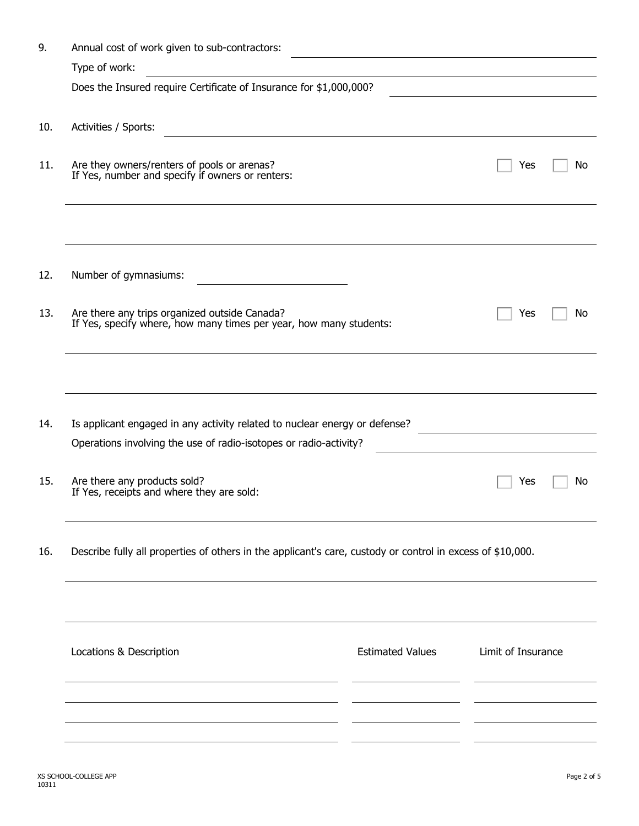| 9.  | Annual cost of work given to sub-contractors:                                                                       |                         |                    |    |  |  |
|-----|---------------------------------------------------------------------------------------------------------------------|-------------------------|--------------------|----|--|--|
|     | Type of work:                                                                                                       |                         |                    |    |  |  |
|     | Does the Insured require Certificate of Insurance for \$1,000,000?                                                  |                         |                    |    |  |  |
| 10. | Activities / Sports:                                                                                                |                         |                    |    |  |  |
| 11. | Are they owners/renters of pools or arenas?<br>If Yes, number and specify if owners or renters:                     |                         | Yes                | No |  |  |
|     |                                                                                                                     |                         |                    |    |  |  |
| 12. | Number of gymnasiums:                                                                                               |                         |                    |    |  |  |
| 13. | Are there any trips organized outside Canada?<br>If Yes, specify where, how many times per year, how many students: |                         | Yes                | No |  |  |
|     |                                                                                                                     |                         |                    |    |  |  |
| 14. | Is applicant engaged in any activity related to nuclear energy or defense?                                          |                         |                    |    |  |  |
|     | Operations involving the use of radio-isotopes or radio-activity?                                                   |                         |                    |    |  |  |
| 15. | Are there any products sold?<br>If Yes, receipts and where they are sold:                                           |                         | Yes                | No |  |  |
| 16. | Describe fully all properties of others in the applicant's care, custody or control in excess of \$10,000.          |                         |                    |    |  |  |
|     |                                                                                                                     |                         |                    |    |  |  |
|     | Locations & Description                                                                                             | <b>Estimated Values</b> | Limit of Insurance |    |  |  |
|     |                                                                                                                     |                         |                    |    |  |  |
|     |                                                                                                                     |                         |                    |    |  |  |
|     |                                                                                                                     |                         |                    |    |  |  |
|     |                                                                                                                     |                         |                    |    |  |  |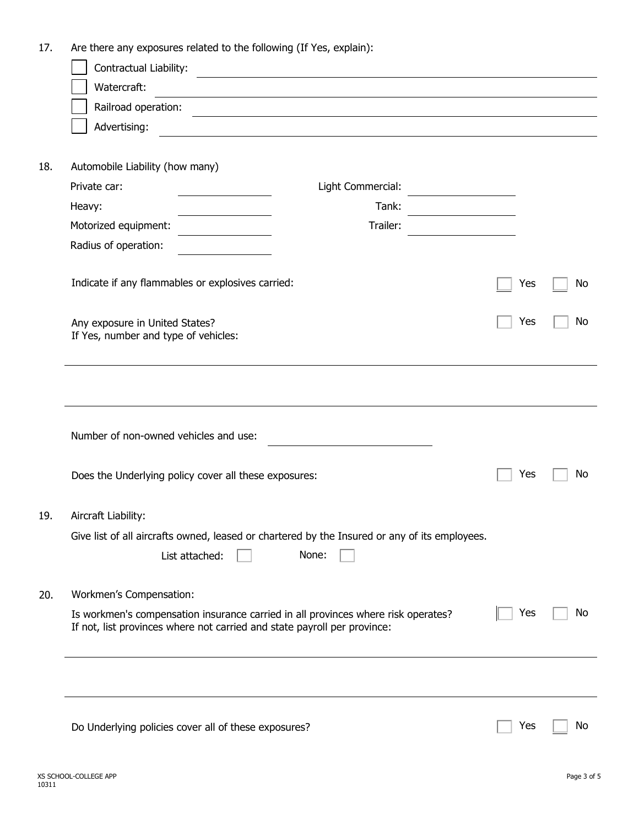| 17. | Are there any exposures related to the following (If Yes, explain):                                                                                           |     |    |
|-----|---------------------------------------------------------------------------------------------------------------------------------------------------------------|-----|----|
|     | Contractual Liability:                                                                                                                                        |     |    |
|     | Watercraft:                                                                                                                                                   |     |    |
|     | Railroad operation:                                                                                                                                           |     |    |
|     | Advertising:                                                                                                                                                  |     |    |
|     |                                                                                                                                                               |     |    |
| 18. | Automobile Liability (how many)                                                                                                                               |     |    |
|     | Private car:<br>Light Commercial:                                                                                                                             |     |    |
|     | Tank:<br>Heavy:                                                                                                                                               |     |    |
|     | Trailer:<br>Motorized equipment:                                                                                                                              |     |    |
|     | Radius of operation:                                                                                                                                          |     |    |
|     | Indicate if any flammables or explosives carried:                                                                                                             | Yes | No |
|     |                                                                                                                                                               |     |    |
|     | Any exposure in United States?                                                                                                                                | Yes | No |
|     | If Yes, number and type of vehicles:                                                                                                                          |     |    |
|     |                                                                                                                                                               |     |    |
|     |                                                                                                                                                               |     |    |
|     |                                                                                                                                                               |     |    |
|     | Number of non-owned vehicles and use:                                                                                                                         |     |    |
|     |                                                                                                                                                               |     |    |
|     | Does the Underlying policy cover all these exposures:                                                                                                         | Yes | No |
|     |                                                                                                                                                               |     |    |
| 19. | Aircraft Liability:                                                                                                                                           |     |    |
|     | Give list of all aircrafts owned, leased or chartered by the Insured or any of its employees.                                                                 |     |    |
|     | None:<br>List attached:                                                                                                                                       |     |    |
| 20. | Workmen's Compensation:                                                                                                                                       |     |    |
|     | Is workmen's compensation insurance carried in all provinces where risk operates?<br>If not, list provinces where not carried and state payroll per province: | Yes | No |
|     |                                                                                                                                                               |     |    |
|     |                                                                                                                                                               |     |    |
|     |                                                                                                                                                               |     |    |
|     | Do Underlying policies cover all of these exposures?                                                                                                          | Yes | No |
|     |                                                                                                                                                               |     |    |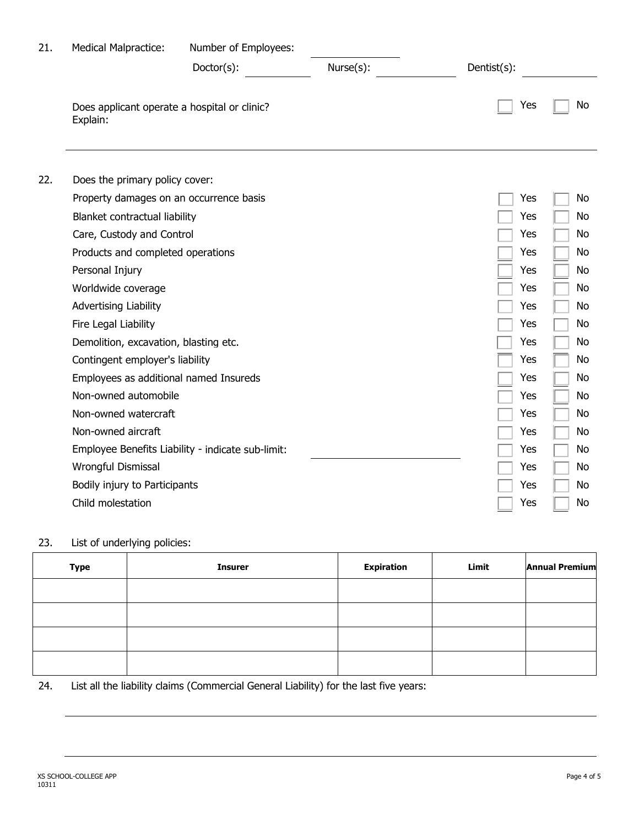| 21. | <b>Medical Malpractice:</b>                              | Number of Employees:                              |           |             |    |
|-----|----------------------------------------------------------|---------------------------------------------------|-----------|-------------|----|
|     |                                                          | Doctor(s):                                        | Nurse(s): | Dentist(s): |    |
|     | Does applicant operate a hospital or clinic?<br>Explain: |                                                   |           | Yes         | No |
| 22. | Does the primary policy cover:                           |                                                   |           |             |    |
|     | Property damages on an occurrence basis                  |                                                   |           | Yes         | No |
|     | Blanket contractual liability                            |                                                   |           | Yes         | No |
|     | Care, Custody and Control                                |                                                   |           | Yes         | No |
|     | Products and completed operations                        |                                                   |           | Yes         | No |
|     | Personal Injury                                          |                                                   |           | Yes         | No |
|     | Worldwide coverage                                       |                                                   |           | Yes         | No |
|     | <b>Advertising Liability</b>                             |                                                   |           | Yes         | No |
|     | Fire Legal Liability                                     |                                                   |           | Yes         | No |
|     | Demolition, excavation, blasting etc.                    |                                                   |           | Yes         | No |
|     | Contingent employer's liability                          |                                                   |           | Yes         | No |
|     | Employees as additional named Insureds                   |                                                   |           | Yes         | No |
|     | Non-owned automobile                                     |                                                   |           | Yes         | No |
|     | Non-owned watercraft                                     |                                                   |           | Yes         | No |
|     | Non-owned aircraft                                       |                                                   |           | Yes         | No |
|     |                                                          | Employee Benefits Liability - indicate sub-limit: |           | Yes         | No |
|     | Wrongful Dismissal                                       |                                                   |           | Yes         | No |
|     | Bodily injury to Participants                            |                                                   |           | Yes         | No |
|     | Child molestation                                        |                                                   |           | Yes         | No |

### 23. List of underlying policies:

| <b>Type</b> | <b>Insurer</b> | <b>Expiration</b> | Limit | <b>Annual Premium</b> |
|-------------|----------------|-------------------|-------|-----------------------|
|             |                |                   |       |                       |
|             |                |                   |       |                       |
|             |                |                   |       |                       |
|             |                |                   |       |                       |

24. List all the liability claims (Commercial General Liability) for the last five years: